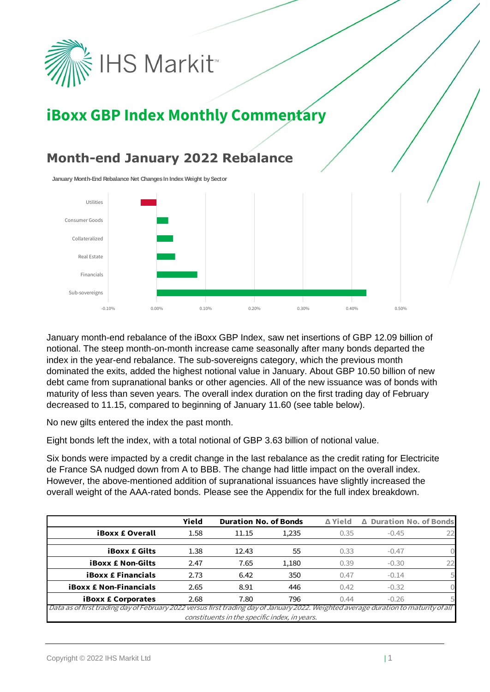

# **iBoxx GBP Index Monthly Commentary**

#### **Month-end January 2022 Rebalance**

**January Month-End Rebalance Net Changes In Index Weight by Sector**



January month-end rebalance of the iBoxx GBP Index, saw net insertions of GBP 12.09 billion of notional. The steep month-on-month increase came seasonally after many bonds departed the index in the year-end rebalance. The sub-sovereigns category, which the previous month dominated the exits, added the highest notional value in January. About GBP 10.50 billion of new debt came from supranational banks or other agencies. All of the new issuance was of bonds with maturity of less than seven years. The overall index duration on the first trading day of February decreased to 11.15, compared to beginning of January 11.60 (see table below).

No new gilts entered the index the past month.

Eight bonds left the index, with a total notional of GBP 3.63 billion of notional value.

Six bonds were impacted by a credit change in the last rebalance as the credit rating for Electricite de France SA nudged down from A to BBB. The change had little impact on the overall index. However, the above-mentioned addition of supranational issuances have slightly increased the overall weight of the AAA-rated bonds. Please see the Appendix for the full index breakdown.

|                                                                                                                                      | Yield | <b>Duration No. of Bonds</b> |       | ∆ Yield | △ Duration No. of Bonds |    |  |
|--------------------------------------------------------------------------------------------------------------------------------------|-------|------------------------------|-------|---------|-------------------------|----|--|
| <b>iBoxx £ Overall</b>                                                                                                               | 1.58  | 11.15                        | 1,235 | 0.35    | $-0.45$                 |    |  |
| <b>iBoxx £ Gilts</b>                                                                                                                 | 1.38  | 12.43                        | 55    | 0.33    | $-0.47$                 |    |  |
| <b>iBoxx £ Non-Gilts</b>                                                                                                             | 2.47  | 7.65                         | 1,180 | 0.39    | $-0.30$                 | 22 |  |
| <b>iBoxx £ Financials</b>                                                                                                            | 2.73  | 6.42                         | 350   | 0.47    | $-0.14$                 |    |  |
| <b>iBoxx £ Non-Financials</b>                                                                                                        | 2.65  | 8.91                         | 446   | 0.42    | $-0.32$                 |    |  |
| <b>iBoxx £ Corporates</b>                                                                                                            | 2.68  | 7.80                         | 796   | 0.44    | $-0.26$                 |    |  |
| Data as of first trading day of February 2022 versus first trading day of January 2022. Weighted average duration to maturity of all |       |                              |       |         |                         |    |  |
| constituents in the specific index, in years.                                                                                        |       |                              |       |         |                         |    |  |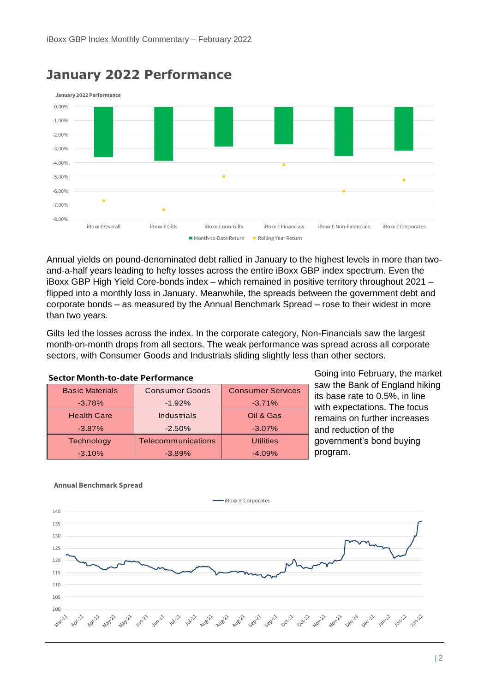

#### **January 2022 Performance**

Annual yields on pound-denominated debt rallied in January to the highest levels in more than twoand-a-half years leading to hefty losses across the entire iBoxx GBP index spectrum. Even the iBoxx GBP High Yield Core-bonds index – which remained in positive territory throughout 2021 – flipped into a monthly loss in January. Meanwhile, the spreads between the government debt and corporate bonds – as measured by the Annual Benchmark Spread – rose to their widest in more than two years.

Gilts led the losses across the index. In the corporate category, Non-Financials saw the largest month-on-month drops from all sectors. The weak performance was spread across all corporate sectors, with Consumer Goods and Industrials sliding slightly less than other sectors.

| <b>Sector Month-to-date Performance</b>               |                       |                          |  |  |  |  |  |  |
|-------------------------------------------------------|-----------------------|--------------------------|--|--|--|--|--|--|
| <b>Basic Materials</b>                                | <b>Consumer Goods</b> | <b>Consumer Services</b> |  |  |  |  |  |  |
| $-3.78%$                                              | $-1.92%$              | $-3.71%$                 |  |  |  |  |  |  |
| <b>Health Care</b>                                    | Industrials           | Oil & Gas                |  |  |  |  |  |  |
| $-3.87\%$                                             | $-2.50%$              | $-3.07\%$                |  |  |  |  |  |  |
| Technology                                            | Telecommunications    | <b>Utilities</b>         |  |  |  |  |  |  |
| $-3.10%$                                              | $-3.89%$              | $-4.09%$                 |  |  |  |  |  |  |
| <b>Annual Benchmark Spread</b><br>-iBoxx £ Corporates |                       |                          |  |  |  |  |  |  |

Going into February, the market saw the Bank of England hiking its base rate to 0.5%, in line with expectations. The focus remains on further increases and reduction of the government's bond buying program.

#### **Annual Benchmark Spread**

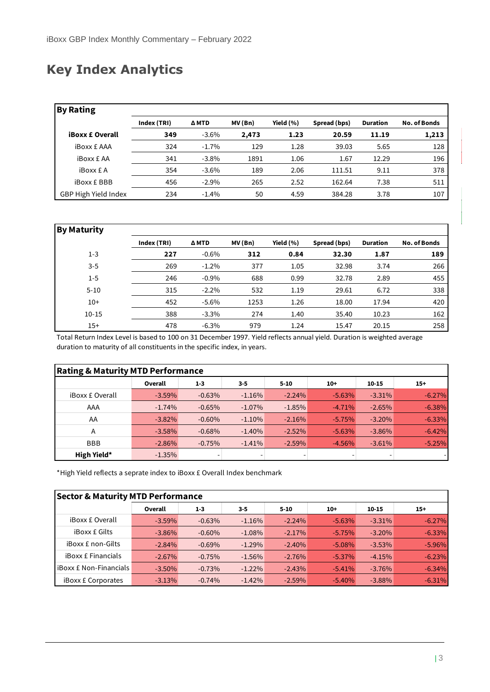### **Key Index Analytics**

| <b>By Rating</b>       |             |          |         |               |              |                 |                     |
|------------------------|-------------|----------|---------|---------------|--------------|-----------------|---------------------|
|                        | Index (TRI) | Δ MTD    | MV (Bn) | Yield $(\% )$ | Spread (bps) | <b>Duration</b> | <b>No. of Bonds</b> |
| <b>iBoxx £ Overall</b> | 349         | $-3.6%$  | 2,473   | 1.23          | 20.59        | 11.19           | 1,213               |
| <b>iBoxx £ AAA</b>     | 324         | $-1.7%$  | 129     | 1.28          | 39.03        | 5.65            | 128                 |
| <b>iBoxx £ AA</b>      | 341         | $-3.8\%$ | 1891    | 1.06          | 1.67         | 12.29           | 196                 |
| <b>iBoxx £ A</b>       | 354         | $-3.6%$  | 189     | 2.06          | 111.51       | 9.11            | 378                 |
| <b>iBoxx £ BBB</b>     | 456         | $-2.9%$  | 265     | 2.52          | 162.64       | 7.38            | 511                 |
| GBP High Yield Index   | 234         | $-1.4%$  | 50      | 4.59          | 384.28       | 3.78            | 107                 |

| <b>By Maturity</b> |             |          |         |               |              |                 |                     |
|--------------------|-------------|----------|---------|---------------|--------------|-----------------|---------------------|
|                    | Index (TRI) | ΔMTD     | MV (Bn) | Yield $(\% )$ | Spread (bps) | <b>Duration</b> | <b>No. of Bonds</b> |
| $1 - 3$            | 227         | $-0.6%$  | 312     | 0.84          | 32.30        | 1.87            | 189                 |
| $3 - 5$            | 269         | $-1.2%$  | 377     | 1.05          | 32.98        | 3.74            | 266                 |
| $1 - 5$            | 246         | $-0.9\%$ | 688     | 0.99          | 32.78        | 2.89            | 455                 |
| $5 - 10$           | 315         | $-2.2\%$ | 532     | 1.19          | 29.61        | 6.72            | 338                 |
| $10+$              | 452         | $-5.6\%$ | 1253    | 1.26          | 18.00        | 17.94           | 420                 |
| $10 - 15$          | 388         | $-3.3\%$ | 274     | 1.40          | 35.40        | 10.23           | 162                 |
| $15+$              | 478         | $-6.3%$  | 979     | 1.24          | 15.47        | 20.15           | 258                 |

Total Return Index Level is based to 100 on 31 December 1997. Yield reflects annual yield. Duration is weighted average duration to maturity of all constituents in the specific index, in years.

| <b>Rating &amp; Maturity MTD Performance</b> |           |          |           |          |          |           |           |  |  |
|----------------------------------------------|-----------|----------|-----------|----------|----------|-----------|-----------|--|--|
|                                              | Overall   | $1 - 3$  | $3 - 5$   | $5 - 10$ | $10+$    | $10 - 15$ | $15+$     |  |  |
| <b>iBoxx £ Overall</b>                       | $-3.59\%$ | $-0.63%$ | $-1.16%$  | $-2.24%$ | $-5.63%$ | $-3.31%$  | $-6.27%$  |  |  |
| AAA                                          | $-1.74%$  | $-0.65%$ | $-1.07\%$ | $-1.85%$ | $-4.71%$ | $-2.65%$  | $-6.38%$  |  |  |
| AA                                           | $-3.82\%$ | $-0.60%$ | $-1.10%$  | $-2.16%$ | $-5.75%$ | $-3.20%$  | $-6.33\%$ |  |  |
| A                                            | $-3.58\%$ | $-0.68%$ | $-1.40%$  | $-2.52%$ | $-5.63%$ | $-3.86%$  | $-6.42%$  |  |  |
| <b>BBB</b>                                   | $-2.86%$  | $-0.75%$ | $-1.41%$  | $-2.59%$ | $-4.56%$ | $-3.61%$  | $-5.25%$  |  |  |
| High Yield*                                  | $-1.35%$  |          |           | ٠        |          |           |           |  |  |

\*High Yield reflects a seprate index to iBoxx £ Overall Index benchmark

| <b>Sector &amp; Maturity MTD Performance</b> |           |          |          |           |           |           |           |  |
|----------------------------------------------|-----------|----------|----------|-----------|-----------|-----------|-----------|--|
|                                              | Overall   | $1 - 3$  | $3 - 5$  | $5 - 10$  | $10+$     | $10 - 15$ | $15+$     |  |
| <b>iBoxx £ Overall</b>                       | $-3.59%$  | $-0.63%$ | $-1.16%$ | $-2.24%$  | $-5.63%$  | $-3.31\%$ | $-6.27%$  |  |
| <b>iBoxx £ Gilts</b>                         | $-3.86\%$ | $-0.60%$ | $-1.08%$ | $-2.17%$  | $-5.75%$  | $-3.20%$  | $-6.33\%$ |  |
| <b>iBoxx £ non-Gilts</b>                     | $-2.84%$  | $-0.69%$ | $-1.29%$ | $-2.40%$  | $-5.08\%$ | $-3.53%$  | $-5.96%$  |  |
| <b>iBoxx £ Financials</b>                    | $-2.67%$  | $-0.75%$ | $-1.56%$ | $-2.76%$  | $-5.37\%$ | $-4.15%$  | $-6.23%$  |  |
| <b>IBoxx £ Non-Financials</b>                | $-3.50\%$ | $-0.73%$ | $-1.22%$ | $-2.43%$  | $-5.41%$  | $-3.76%$  | $-6.34%$  |  |
| <b>iBoxx £ Corporates</b>                    | $-3.13%$  | $-0.74%$ | $-1.42%$ | $-2.59\%$ | $-5.40%$  | $-3.88%$  | $-6.31%$  |  |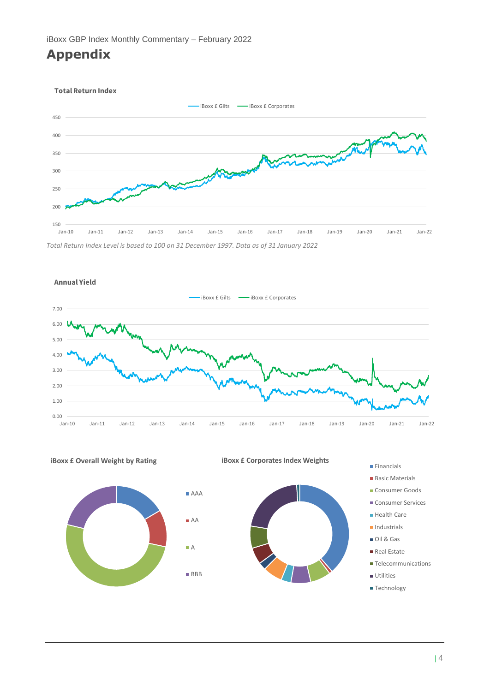#### **Appendix**



*Total Return Index Level is based to 100 on 31 December 1997. Data as of 31 January 2022*







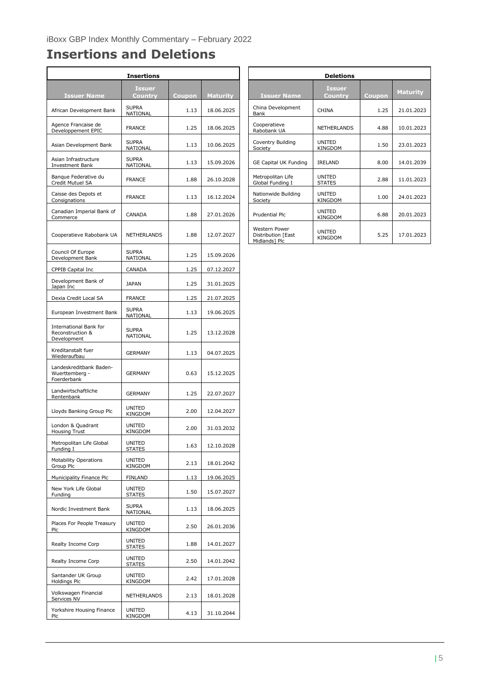## **Insertions and Deletions**

 $\overline{a}$ 

| <b>Insertions</b>                                         |                          |        |                 |                                                      | <b>Deletions</b>         |
|-----------------------------------------------------------|--------------------------|--------|-----------------|------------------------------------------------------|--------------------------|
| <b>Issuer Name</b>                                        | <b>Issuer</b><br>Country | Coupon | <b>Maturity</b> | <b>Issuer Name</b>                                   | <b>Issuer</b><br>Country |
| African Development Bank                                  | <b>SUPRA</b><br>NATIONAL | 1.13   | 18.06.2025      | China Development<br>Bank                            | <b>CHINA</b>             |
| Agence Francaise de<br>Developpement EPIC                 | <b>FRANCE</b>            | 1.25   | 18.06.2025      | Cooperatieve<br>Rabobank UA                          | <b>NETHERLANDS</b>       |
| Asian Development Bank                                    | <b>SUPRA</b><br>NATIONAL | 1.13   | 10.06.2025      | Coventry Building<br>Society                         | UNITED<br>KINGDOM        |
| Asian Infrastructure<br>Investment Bank                   | <b>SUPRA</b><br>NATIONAL | 1.13   | 15.09.2026      | GE Capital UK Funding                                | IRELAND                  |
| Banque Federative du<br>Credit Mutuel SA                  | <b>FRANCE</b>            | 1.88   | 26.10.2028      | Metropolitan Life<br>Global Funding I                | UNITED<br><b>STATES</b>  |
| Caisse des Depots et<br>Consignations                     | <b>FRANCE</b>            | 1.13   | 16.12.2024      | Nationwide Building<br>Society                       | UNITED<br>KINGDOM        |
| Canadian Imperial Bank of<br>Commerce                     | CANADA                   | 1.88   | 27.01.2026      | Prudential Plc                                       | UNITED<br>KINGDOM        |
| Cooperatieve Rabobank UA                                  | NETHERLANDS              | 1.88   | 12.07.2027      | Western Power<br>Distribution [East<br>Midlands] Plc | UNITED<br>KINGDOM        |
| Council Of Europe<br>Development Bank                     | <b>SUPRA</b><br>NATIONAL | 1.25   | 15.09.2026      |                                                      |                          |
| CPPIB Capital Inc                                         | CANADA                   | 1.25   | 07.12.2027      |                                                      |                          |
| Development Bank of<br>Japan Inc                          | <b>JAPAN</b>             | 1.25   | 31.01.2025      |                                                      |                          |
| Dexia Credit Local SA                                     | <b>FRANCE</b>            | 1.25   | 21.07.2025      |                                                      |                          |
| European Investment Bank                                  | <b>SUPRA</b><br>NATIONAL | 1.13   | 19.06.2025      |                                                      |                          |
| International Bank for<br>Reconstruction &<br>Development | <b>SUPRA</b><br>NATIONAL | 1.25   | 13.12.2028      |                                                      |                          |
| Kreditanstalt fuer<br>Wiederaufbau                        | GERMANY                  | 1.13   | 04.07.2025      |                                                      |                          |
| Landeskreditbank Baden-<br>Wuerttemberg -<br>Foerderbank  | <b>GERMANY</b>           | 0.63   | 15.12.2025      |                                                      |                          |
| Landwirtschaftliche<br>Rentenbank                         | <b>GERMANY</b>           | 1.25   | 22.07.2027      |                                                      |                          |
| Lloyds Banking Group Plc                                  | UNITED<br>KINGDOM        | 2.00   | 12.04.2027      |                                                      |                          |
| London & Quadrant<br><b>Housing Trust</b>                 | <b>UNITED</b><br>KINGDOM | 2.00   | 31.03.2032      |                                                      |                          |
| Metropolitan Life Global<br>Funding I                     | UNITED<br><b>STATES</b>  | 1.63   | 12.10.2028      |                                                      |                          |
| <b>Motability Operations</b><br>Group Plc                 | UNITED<br><b>KINGDOM</b> | 2.13   | 18.01.2042      |                                                      |                          |
| Municipality Finance Plc                                  | FINLAND                  | 1.13   | 19.06.2025      |                                                      |                          |
| New York Life Global<br>Funding                           | UNITED<br><b>STATES</b>  | 1.50   | 15.07.2027      |                                                      |                          |
| Nordic Investment Bank                                    | <b>SUPRA</b><br>NATIONAL | 1.13   | 18.06.2025      |                                                      |                          |
| Places For People Treasury<br>Plc                         | UNITED<br>KINGDOM        | 2.50   | 26.01.2036      |                                                      |                          |
| Realty Income Corp                                        | UNITED<br><b>STATES</b>  | 1.88   | 14.01.2027      |                                                      |                          |
| Realty Income Corp                                        | UNITED<br><b>STATES</b>  | 2.50   | 14.01.2042      |                                                      |                          |
| Santander UK Group<br>Holdings Plc                        | UNITED<br>KINGDOM        | 2.42   | 17.01.2028      |                                                      |                          |
| Volkswagen Financial<br>Services NV                       | NETHERLANDS              | 2.13   | 18.01.2028      |                                                      |                          |
| Yorkshire Housing Finance<br>Plc                          | UNITED<br>KINGDOM        | 4.13   | 31.10.2044      |                                                      |                          |

| <b>Insertions</b>               |        |                 | <b>Deletions</b>                                     |                                 |        |                 |  |  |  |
|---------------------------------|--------|-----------------|------------------------------------------------------|---------------------------------|--------|-----------------|--|--|--|
| <b>Issuer</b><br><b>Country</b> | Coupon | <b>Maturity</b> | <b>Issuer Name</b>                                   | <b>Issuer</b><br>Country        | Coupon | <b>Maturity</b> |  |  |  |
| <b>SUPRA</b><br>NATIONAL        | 1.13   | 18.06.2025      | China Development<br>Bank                            | <b>CHINA</b>                    | 1.25   | 21.01.2023      |  |  |  |
| <b>FRANCE</b>                   | 1.25   | 18.06.2025      | Cooperatieve<br>Rabobank UA                          | <b>NETHERLANDS</b>              | 4.88   | 10.01.2023      |  |  |  |
| <b>SUPRA</b><br>NATIONAL        | 1.13   | 10.06.2025      | Coventry Building<br>Society                         | <b>UNITED</b><br><b>KINGDOM</b> | 1.50   | 23.01.2023      |  |  |  |
| <b>SUPRA</b><br>NATIONAL        | 1.13   | 15.09.2026      | <b>GE Capital UK Funding</b>                         | <b>IRELAND</b>                  | 8.00   | 14.01.2039      |  |  |  |
| <b>FRANCE</b>                   | 1.88   | 26.10.2028      | Metropolitan Life<br>Global Funding I                | <b>UNITED</b><br><b>STATES</b>  | 2.88   | 11.01.2023      |  |  |  |
| <b>FRANCE</b>                   | 1.13   | 16.12.2024      | Nationwide Building<br>Society                       | <b>UNITED</b><br><b>KINGDOM</b> | 1.00   | 24.01.2023      |  |  |  |
| CANADA                          | 1.88   | 27.01.2026      | Prudential Plc.                                      | <b>UNITED</b><br><b>KINGDOM</b> | 6.88   | 20.01.2023      |  |  |  |
| NETHERLANDS                     | 1.88   | 12.07.2027      | Western Power<br>Distribution [East<br>Midlands] Plc | <b>UNITED</b><br><b>KINGDOM</b> | 5.25   | 17.01.2023      |  |  |  |
|                                 |        |                 |                                                      |                                 |        |                 |  |  |  |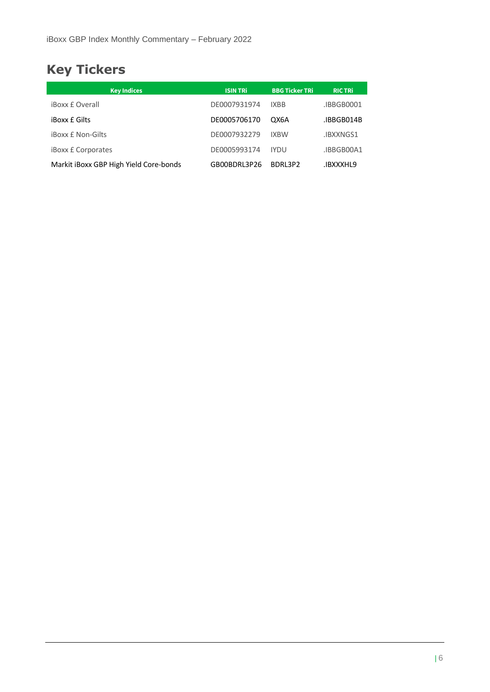## **Key Tickers**

| <b>Key Indices</b>                     | <b>ISIN TRI</b> | <b>BBG Ticker TRi</b> | <b>RIC TRI</b> |
|----------------------------------------|-----------------|-----------------------|----------------|
| <b>iBoxx £ Overall</b>                 | DE0007931974    | <b>IXBB</b>           | .IBBGB0001     |
| <b>iBoxx £ Gilts</b>                   | DE0005706170    | OX6A                  | IBBGB014B      |
| <b>iBoxx £ Non-Gilts</b>               | DE0007932279    | <b>IXBW</b>           | .IBXXNGS1      |
| <b>iBoxx £ Corporates</b>              | DE0005993174    | <b>IYDU</b>           | .IBBGB00A1     |
| Markit iBoxx GBP High Yield Core-bonds | GB00BDRL3P26    | BDRL3P2               | IBXXXHL9.      |